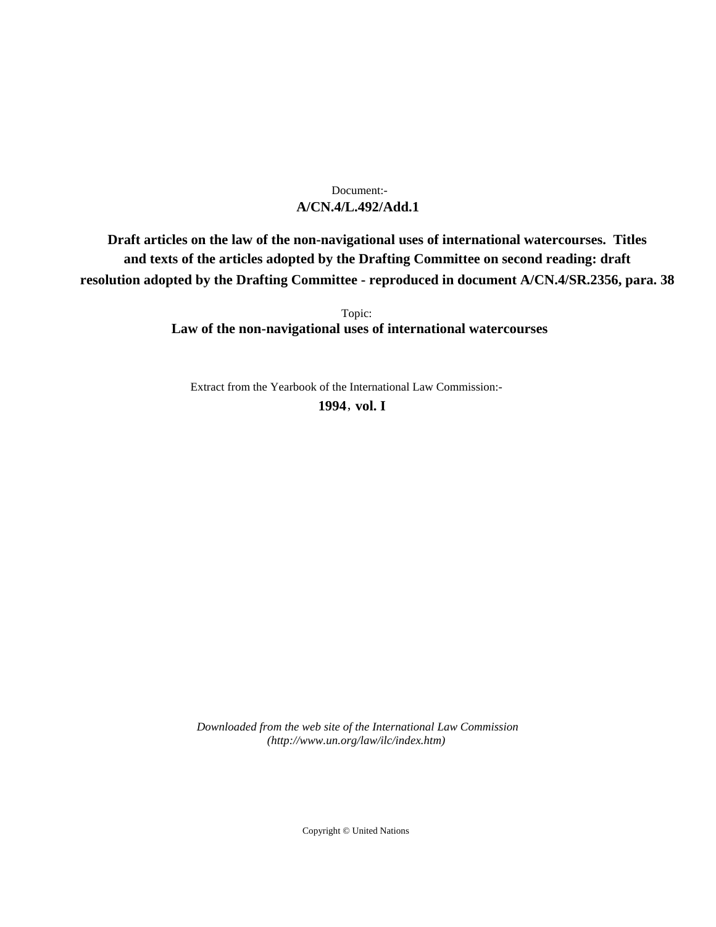## **A/CN.4/L.492/Add.1** Document:-

**Draft articles on the law of the non-navigational uses of international watercourses. Titles and texts of the articles adopted by the Drafting Committee on second reading: draft resolution adopted by the Drafting Committee - reproduced in document A/CN.4/SR.2356, para. 38**

> Topic: **Law of the non-navigational uses of international watercourses**

Extract from the Yearbook of the International Law Commission:-

**1994** , **vol. I**

*Downloaded from the web site of the International Law Commission (http://www.un.org/law/ilc/index.htm)*

Copyright © United Nations